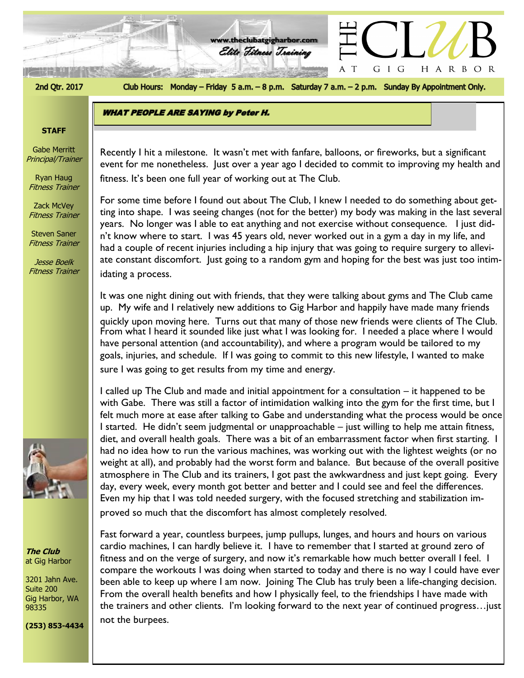2nd Qtr. 2017

Club Hours: Monday - Friday 5 a.m. - 8 p.m. Saturday 7 a.m. - 2 p.m. Sunday By Appointment Only.

HARBOR

GIG

 $\top$ 

**www.theclubatgigharbor.com**

Elite Fitness Training

**WHAT PEOPLE ARE SAYING by Peter H.** 

# **STAFF**

Gabe Merritt Principal/Trainer

Ryan Haug Fitness Trainer

Zack McVey Fitness Trainer

Steven Saner Fitness Trainer

Jesse Boelk Fitness Trainer



**The Club** at Gig Harbor

3201 Jahn Ave. Suite 200 Gig Harbor, WA 98335

**(253) 853-4434**

event for me nonetheless. Just over a year ago I decided to commit to improving my health and Recently I hit a milestone. It wasn't met with fanfare, balloons, or fireworks, but a significant fitness. It's been one full year of working out at The Club.

For some time before I found out about The Club, I knew I needed to do something about getting into shape. I was seeing changes (not for the better) my body was making in the last several years. No longer was I able to eat anything and not exercise without consequence. I just didn't know where to start. I was 45 years old, never worked out in a gym a day in my life, and had a couple of recent injuries including a hip injury that was going to require surgery to alleviate constant discomfort. Just going to a random gym and hoping for the best was just too intimidating a process.

It was one night dining out with friends, that they were talking about gyms and The Club came up. My wife and I relatively new additions to Gig Harbor and happily have made many friends quickly upon moving here. Turns out that many of those new friends were clients of The Club. From what I heard it sounded like just what I was looking for. I needed a place where I would have personal attention (and accountability), and where a program would be tailored to my goals, injuries, and schedule. If I was going to commit to this new lifestyle, I wanted to make sure I was going to get results from my time and energy.

I called up The Club and made and initial appointment for a consultation – it happened to be with Gabe. There was still a factor of intimidation walking into the gym for the first time, but I felt much more at ease after talking to Gabe and understanding what the process would be once I started. He didn't seem judgmental or unapproachable – just willing to help me attain fitness, diet, and overall health goals. There was a bit of an embarrassment factor when first starting. I had no idea how to run the various machines, was working out with the lightest weights (or no weight at all), and probably had the worst form and balance. But because of the overall positive atmosphere in The Club and its trainers, I got past the awkwardness and just kept going. Every day, every week, every month got better and better and I could see and feel the differences. Even my hip that I was told needed surgery, with the focused stretching and stabilization improved so much that the discomfort has almost completely resolved.

Fast forward a year, countless burpees, jump pullups, lunges, and hours and hours on various cardio machines, I can hardly believe it. I have to remember that I started at ground zero of fitness and on the verge of surgery, and now it's remarkable how much better overall I feel. I compare the workouts I was doing when started to today and there is no way I could have ever been able to keep up where I am now. Joining The Club has truly been a life-changing decision. From the overall health benefits and how I physically feel, to the friendships I have made with the trainers and other clients. I'm looking forward to the next year of continued progress…just not the burpees.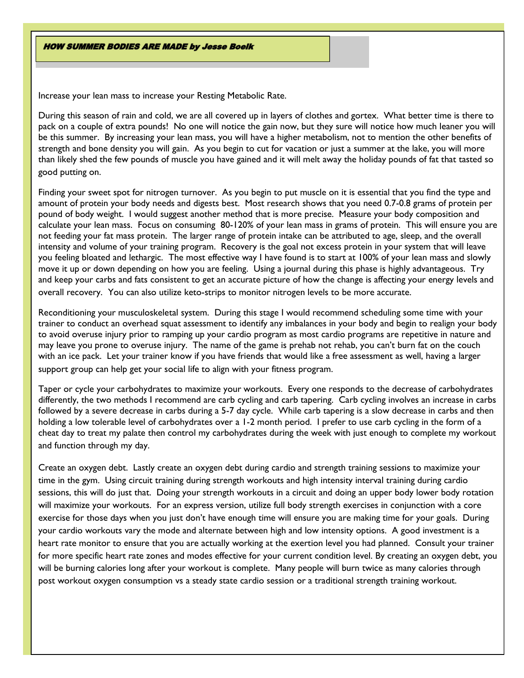**HOW SUMMER BODIES ARE MADE by Jesse Boelk** 

Increase your lean mass to increase your Resting Metabolic Rate.

During this season of rain and cold, we are all covered up in layers of clothes and gortex. What better time is there to pack on a couple of extra pounds! No one will notice the gain now, but they sure will notice how much leaner you will be this summer. By increasing your lean mass, you will have a higher metabolism, not to mention the other benefits of strength and bone density you will gain. As you begin to cut for vacation or just a summer at the lake, you will more than likely shed the few pounds of muscle you have gained and it will melt away the holiday pounds of fat that tasted so good putting on.

Finding your sweet spot for nitrogen turnover. As you begin to put muscle on it is essential that you find the type and amount of protein your body needs and digests best. Most research shows that you need 0.7-0.8 grams of protein per pound of body weight. I would suggest another method that is more precise. Measure your body composition and calculate your lean mass. Focus on consuming 80-120% of your lean mass in grams of protein. This will ensure you are not feeding your fat mass protein. The larger range of protein intake can be attributed to age, sleep, and the overall intensity and volume of your training program. Recovery is the goal not excess protein in your system that will leave you feeling bloated and lethargic. The most effective way I have found is to start at 100% of your lean mass and slowly move it up or down depending on how you are feeling. Using a journal during this phase is highly advantageous. Try and keep your carbs and fats consistent to get an accurate picture of how the change is affecting your energy levels and overall recovery. You can also utilize keto-strips to monitor nitrogen levels to be more accurate.

Reconditioning your musculoskeletal system. During this stage I would recommend scheduling some time with your trainer to conduct an overhead squat assessment to identify any imbalances in your body and begin to realign your body to avoid overuse injury prior to ramping up your cardio program as most cardio programs are repetitive in nature and may leave you prone to overuse injury. The name of the game is prehab not rehab, you can't burn fat on the couch with an ice pack. Let your trainer know if you have friends that would like a free assessment as well, having a larger support group can help get your social life to align with your fitness program.

Taper or cycle your carbohydrates to maximize your workouts. Every one responds to the decrease of carbohydrates differently, the two methods I recommend are carb cycling and carb tapering. Carb cycling involves an increase in carbs followed by a severe decrease in carbs during a 5-7 day cycle. While carb tapering is a slow decrease in carbs and then holding a low tolerable level of carbohydrates over a 1-2 month period. I prefer to use carb cycling in the form of a cheat day to treat my palate then control my carbohydrates during the week with just enough to complete my workout and function through my day.

Create an oxygen debt. Lastly create an oxygen debt during cardio and strength training sessions to maximize your time in the gym. Using circuit training during strength workouts and high intensity interval training during cardio sessions, this will do just that. Doing your strength workouts in a circuit and doing an upper body lower body rotation will maximize your workouts. For an express version, utilize full body strength exercises in conjunction with a core exercise for those days when you just don't have enough time will ensure you are making time for your goals. During your cardio workouts vary the mode and alternate between high and low intensity options. A good investment is a heart rate monitor to ensure that you are actually working at the exertion level you had planned. Consult your trainer for more specific heart rate zones and modes effective for your current condition level. By creating an oxygen debt, you will be burning calories long after your workout is complete. Many people will burn twice as many calories through post workout oxygen consumption vs a steady state cardio session or a traditional strength training workout.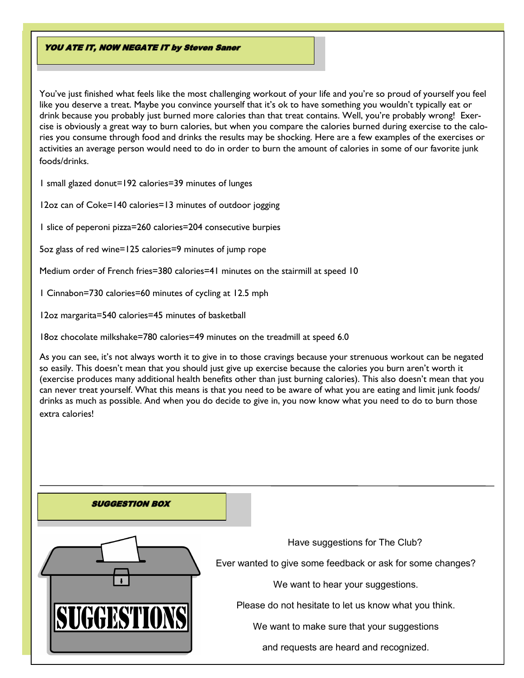### **YOU ATE IT, NOW NEGATE IT by Steven Saner**

You've just finished what feels like the most challenging workout of your life and you're so proud of yourself you feel like you deserve a treat. Maybe you convince yourself that it's ok to have something you wouldn't typically eat or drink because you probably just burned more calories than that treat contains. Well, you're probably wrong! Exercise is obviously a great way to burn calories, but when you compare the calories burned during exercise to the calories you consume through food and drinks the results may be shocking. Here are a few examples of the exercises or activities an average person would need to do in order to burn the amount of calories in some of our favorite junk foods/drinks.

1 small glazed donut=192 calories=39 minutes of lunges

12oz can of Coke=140 calories=13 minutes of outdoor jogging

1 slice of peperoni pizza=260 calories=204 consecutive burpies

5oz glass of red wine=125 calories=9 minutes of jump rope

Medium order of French fries=380 calories=41 minutes on the stairmill at speed 10

1 Cinnabon=730 calories=60 minutes of cycling at 12.5 mph

12oz margarita=540 calories=45 minutes of basketball

18oz chocolate milkshake=780 calories=49 minutes on the treadmill at speed 6.0

As you can see, it's not always worth it to give in to those cravings because your strenuous workout can be negated so easily. This doesn't mean that you should just give up exercise because the calories you burn aren't worth it (exercise produces many additional health benefits other than just burning calories). This also doesn't mean that you can never treat yourself. What this means is that you need to be aware of what you are eating and limit junk foods/ drinks as much as possible. And when you do decide to give in, you now know what you need to do to burn those extra calories!

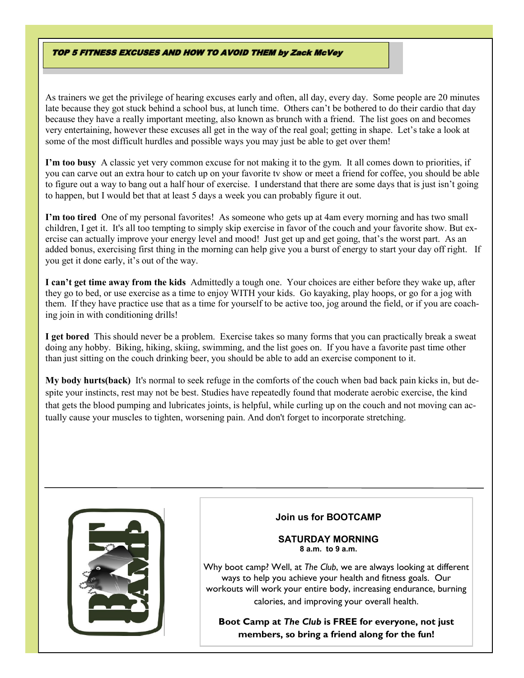### **TOP 5 FITNESS EXCUSES AND HOW TO AVOID THEM by Zack McVey**

As trainers we get the privilege of hearing excuses early and often, all day, every day. Some people are 20 minutes late because they got stuck behind a school bus, at lunch time. Others can't be bothered to do their cardio that day because they have a really important meeting, also known as brunch with a friend. The list goes on and becomes very entertaining, however these excuses all get in the way of the real goal; getting in shape. Let's take a look at some of the most difficult hurdles and possible ways you may just be able to get over them!

**I'm too busy** A classic yet very common excuse for not making it to the gym. It all comes down to priorities, if you can carve out an extra hour to catch up on your favorite tv show or meet a friend for coffee, you should be able to figure out a way to bang out a half hour of exercise. I understand that there are some days that is just isn't going to happen, but I would bet that at least 5 days a week you can probably figure it out.

**I'm too tired** One of my personal favorites! As someone who gets up at 4am every morning and has two small children, I get it. It's all too tempting to simply skip exercise in favor of the couch and your favorite show. But exercise can actually improve your energy level and mood! Just get up and get going, that's the worst part. As an added bonus, exercising first thing in the morning can help give you a burst of energy to start your day off right. If you get it done early, it's out of the way.

**I can't get time away from the kids** Admittedly a tough one. Your choices are either before they wake up, after they go to bed, or use exercise as a time to enjoy WITH your kids. Go kayaking, play hoops, or go for a jog with them. If they have practice use that as a time for yourself to be active too, jog around the field, or if you are coaching join in with conditioning drills!

**I get bored** This should never be a problem. Exercise takes so many forms that you can practically break a sweat doing any hobby. Biking, hiking, skiing, swimming, and the list goes on. If you have a favorite past time other than just sitting on the couch drinking beer, you should be able to add an exercise component to it.

**My body hurts(back)** It's normal to seek refuge in the comforts of the couch when bad back pain kicks in, but despite your instincts, rest may not be best. Studies have repeatedly found that moderate aerobic exercise, the kind that gets the blood pumping and lubricates joints, is helpful, while curling up on the couch and not moving can actually cause your muscles to tighten, worsening pain. And don't forget to incorporate stretching.



# **Join us for BOOTCAMP**

### **SATURDAY MORNING 8 a.m. to 9 a.m.**

Why boot camp? Well, at *The Club*, we are always looking at different ways to help you achieve your health and fitness goals. Our workouts will work your entire body, increasing endurance, burning calories, and improving your overall health.

**Boot Camp at** *The Club* **is FREE for everyone, not just members, so bring a friend along for the fun!**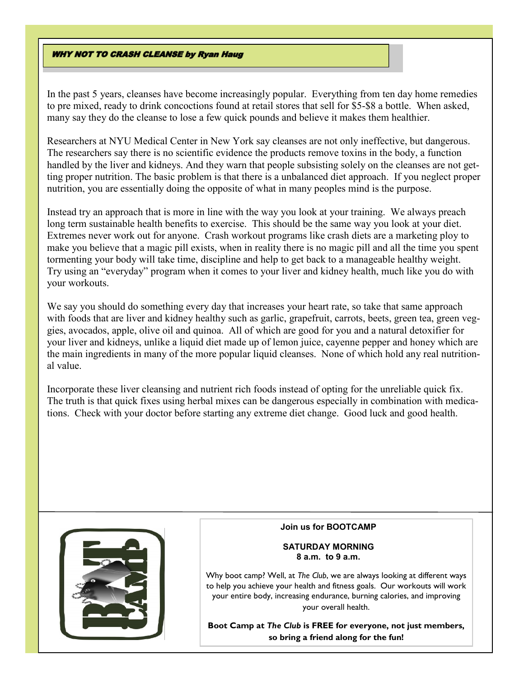# **WHY NOT TO CRASH CLEANSE by Ryan Haug**

In the past 5 years, cleanses have become increasingly popular. Everything from ten day home remedies to pre mixed, ready to drink concoctions found at retail stores that sell for \$5-\$8 a bottle. When asked, many say they do the cleanse to lose a few quick pounds and believe it makes them healthier.

Researchers at NYU Medical Center in New York say cleanses are not only ineffective, but dangerous. The researchers say there is no scientific evidence the products remove toxins in the body, a function handled by the liver and kidneys. And they warn that people subsisting solely on the cleanses are not getting proper nutrition. The basic problem is that there is a unbalanced diet approach. If you neglect proper nutrition, you are essentially doing the opposite of what in many peoples mind is the purpose.

Instead try an approach that is more in line with the way you look at your training. We always preach long term sustainable health benefits to exercise. This should be the same way you look at your diet. Extremes never work out for anyone. Crash workout programs like crash diets are a marketing ploy to make you believe that a magic pill exists, when in reality there is no magic pill and all the time you spent tormenting your body will take time, discipline and help to get back to a manageable healthy weight. Try using an "everyday" program when it comes to your liver and kidney health, much like you do with your workouts.

We say you should do something every day that increases your heart rate, so take that same approach with foods that are liver and kidney healthy such as garlic, grapefruit, carrots, beets, green tea, green veggies, avocados, apple, olive oil and quinoa. All of which are good for you and a natural detoxifier for your liver and kidneys, unlike a liquid diet made up of lemon juice, cayenne pepper and honey which are the main ingredients in many of the more popular liquid cleanses. None of which hold any real nutritional value.

Incorporate these liver cleansing and nutrient rich foods instead of opting for the unreliable quick fix. The truth is that quick fixes using herbal mixes can be dangerous especially in combination with medications. Check with your doctor before starting any extreme diet change. Good luck and good health.



#### **Join us for BOOTCAMP**

### **SATURDAY MORNING 8 a.m. to 9 a.m.**

Why boot camp? Well, at *The Club*, we are always looking at different ways to help you achieve your health and fitness goals. Our workouts will work your entire body, increasing endurance, burning calories, and improving your overall health.

**Boot Camp at** *The Club* **is FREE for everyone, not just members, so bring a friend along for the fun!**